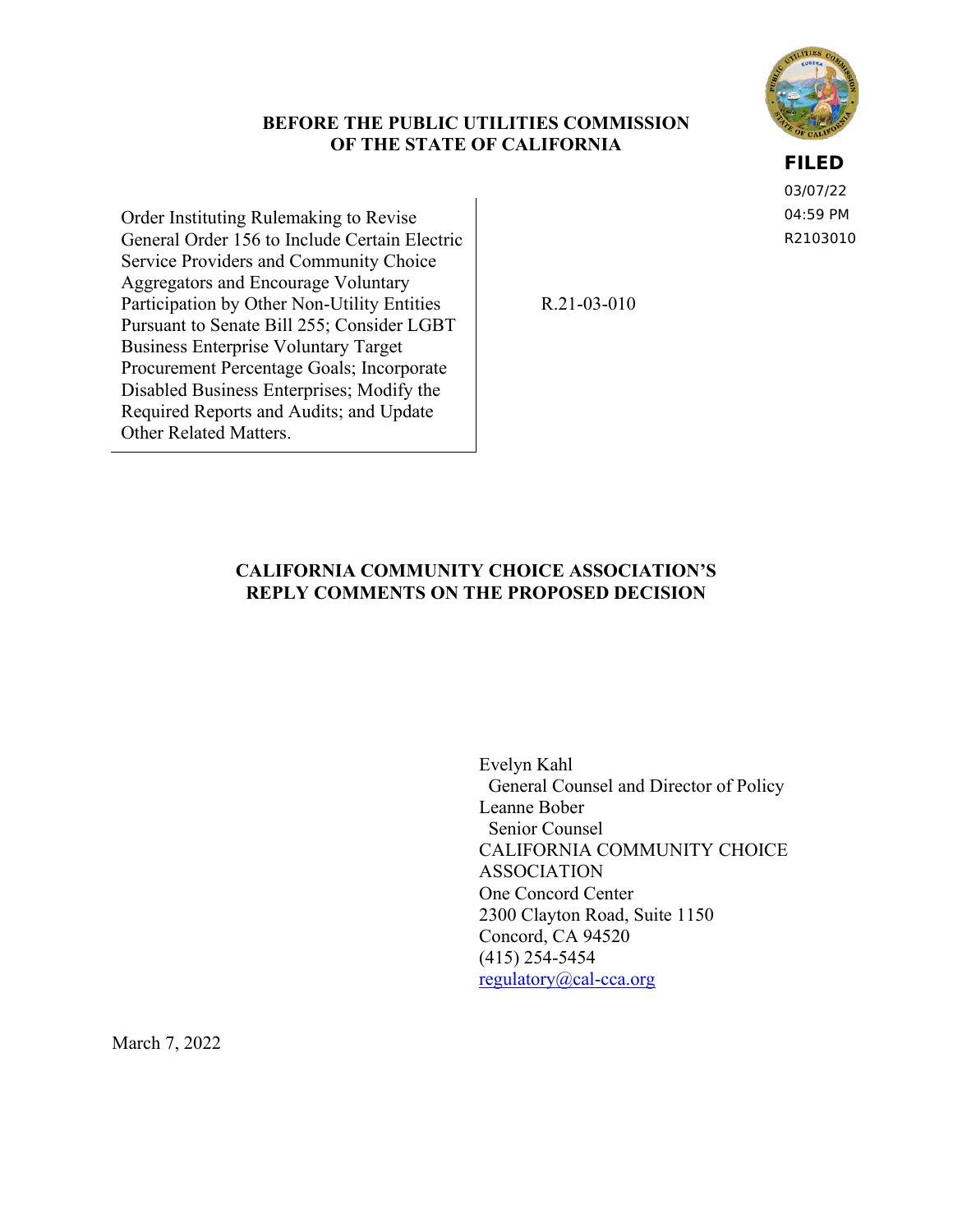## **BEFORE THE PUBLIC UTILITIES COMMISSION OF THE STATE OF CALIFORNIA**

**FILED**

03/07/22 04:59 PM R2103010

Order Instituting Rulemaking to Revise General Order 156 to Include Certain Electric Service Providers and Community Choice Aggregators and Encourage Voluntary Participation by Other Non-Utility Entities Pursuant to Senate Bill 255; Consider LGBT Business Enterprise Voluntary Target Procurement Percentage Goals; Incorporate Disabled Business Enterprises; Modify the Required Reports and Audits; and Update Other Related Matters.

R.21-03-010

## **CALIFORNIA COMMUNITY CHOICE ASSOCIATION'S REPLY COMMENTS ON THE PROPOSED DECISION**

Evelyn Kahl General Counsel and Director of Policy Leanne Bober Senior Counsel CALIFORNIA COMMUNITY CHOICE ASSOCIATION One Concord Center 2300 Clayton Road, Suite 1150 Concord, CA 94520 (415) 254-5454 [regulatory@cal-cca.org](mailto:regulatory@cal-cca.org)

March 7, 2022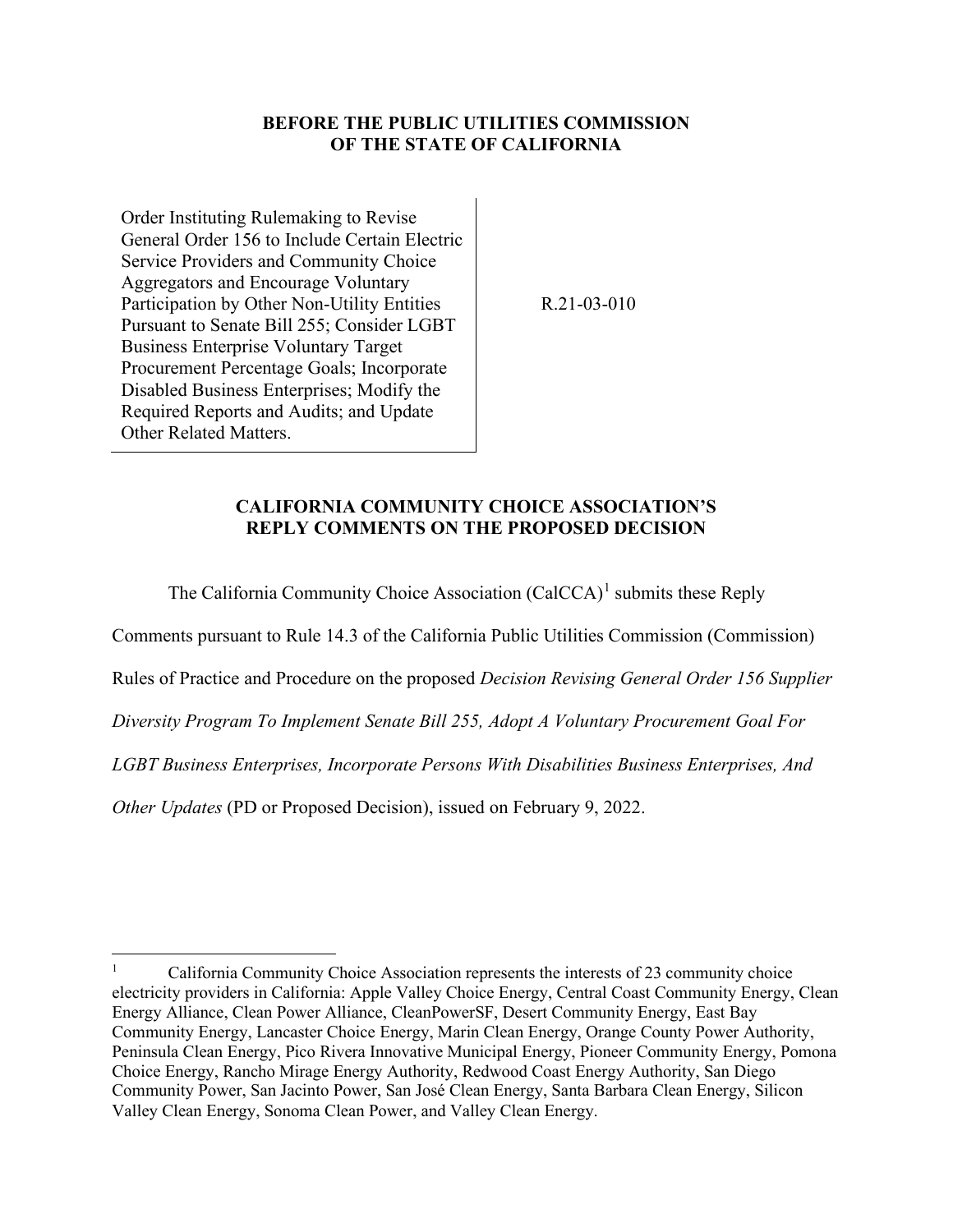## **BEFORE THE PUBLIC UTILITIES COMMISSION OF THE STATE OF CALIFORNIA**

Order Instituting Rulemaking to Revise General Order 156 to Include Certain Electric Service Providers and Community Choice Aggregators and Encourage Voluntary Participation by Other Non-Utility Entities Pursuant to Senate Bill 255; Consider LGBT Business Enterprise Voluntary Target Procurement Percentage Goals; Incorporate Disabled Business Enterprises; Modify the Required Reports and Audits; and Update Other Related Matters.

R.21-03-010

#### **CALIFORNIA COMMUNITY CHOICE ASSOCIATION'S REPLY COMMENTS ON THE PROPOSED DECISION**

The California Community Choice Association  $(CaICCA)^1$  $(CaICCA)^1$  submits these Reply

Comments pursuant to Rule 14.3 of the California Public Utilities Commission (Commission)

Rules of Practice and Procedure on the proposed *Decision Revising General Order 156 Supplier* 

*Diversity Program To Implement Senate Bill 255, Adopt A Voluntary Procurement Goal For* 

*LGBT Business Enterprises, Incorporate Persons With Disabilities Business Enterprises, And* 

*Other Updates* (PD or Proposed Decision), issued on February 9, 2022.

<span id="page-1-0"></span><sup>1</sup> California Community Choice Association represents the interests of 23 community choice electricity providers in California: Apple Valley Choice Energy, Central Coast Community Energy, Clean Energy Alliance, Clean Power Alliance, CleanPowerSF, Desert Community Energy, East Bay Community Energy, Lancaster Choice Energy, Marin Clean Energy, Orange County Power Authority, Peninsula Clean Energy, Pico Rivera Innovative Municipal Energy, Pioneer Community Energy, Pomona Choice Energy, Rancho Mirage Energy Authority, Redwood Coast Energy Authority, San Diego Community Power, San Jacinto Power, San José Clean Energy, Santa Barbara Clean Energy, Silicon Valley Clean Energy, Sonoma Clean Power, and Valley Clean Energy.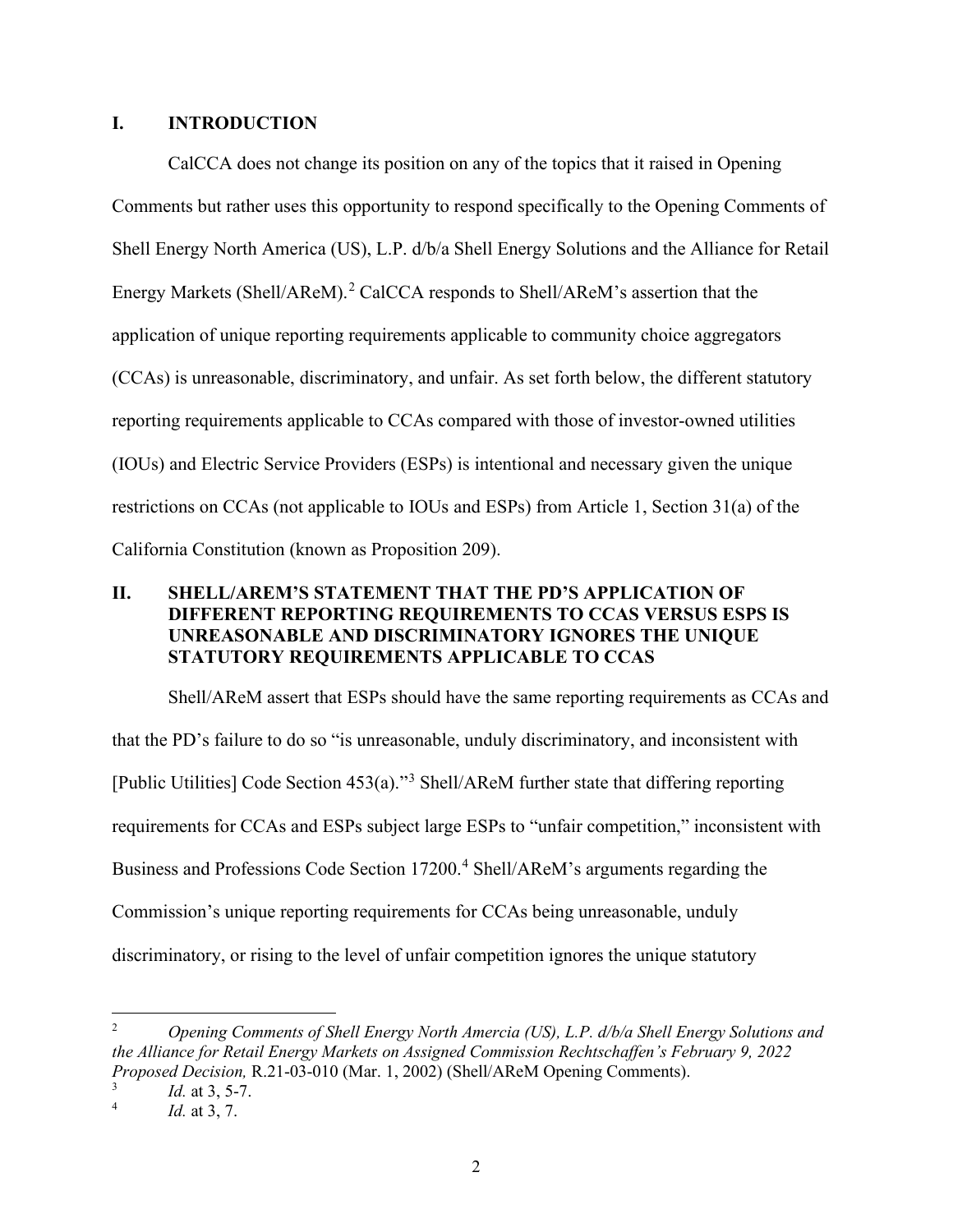#### **I. INTRODUCTION**

CalCCA does not change its position on any of the topics that it raised in Opening Comments but rather uses this opportunity to respond specifically to the Opening Comments of Shell Energy North America (US), L.P. d/b/a Shell Energy Solutions and the Alliance for Retail Energy Markets (Shell/AReM).<sup>[2](#page-2-0)</sup> CalCCA responds to Shell/AReM's assertion that the application of unique reporting requirements applicable to community choice aggregators (CCAs) is unreasonable, discriminatory, and unfair. As set forth below, the different statutory reporting requirements applicable to CCAs compared with those of investor-owned utilities (IOUs) and Electric Service Providers (ESPs) is intentional and necessary given the unique restrictions on CCAs (not applicable to IOUs and ESPs) from Article 1, Section 31(a) of the California Constitution (known as Proposition 209).

# **II. SHELL/AREM'S STATEMENT THAT THE PD'S APPLICATION OF DIFFERENT REPORTING REQUIREMENTS TO CCAS VERSUS ESPS IS UNREASONABLE AND DISCRIMINATORY IGNORES THE UNIQUE STATUTORY REQUIREMENTS APPLICABLE TO CCAS**

Shell/AReM assert that ESPs should have the same reporting requirements as CCAs and that the PD's failure to do so "is unreasonable, unduly discriminatory, and inconsistent with [Public Utilities] Code Section 453(a)."[3](#page-2-1) Shell/AReM further state that differing reporting requirements for CCAs and ESPs subject large ESPs to "unfair competition," inconsistent with Business and Professions Code Section 17200.<sup>[4](#page-2-2)</sup> Shell/AReM's arguments regarding the Commission's unique reporting requirements for CCAs being unreasonable, unduly discriminatory, or rising to the level of unfair competition ignores the unique statutory

<span id="page-2-0"></span><sup>2</sup> *Opening Comments of Shell Energy North Amercia (US), L.P. d/b/a Shell Energy Solutions and the Alliance for Retail Energy Markets on Assigned Commission Rechtschaffen's February 9, 2022 Proposed Decision,* R.21-03-010 (Mar. 1, 2002) (Shell/AReM Opening Comments).

<span id="page-2-2"></span><span id="page-2-1"></span><sup>3</sup> *Id.* at 3, 5-7.

<sup>4</sup> *Id.* at 3, 7.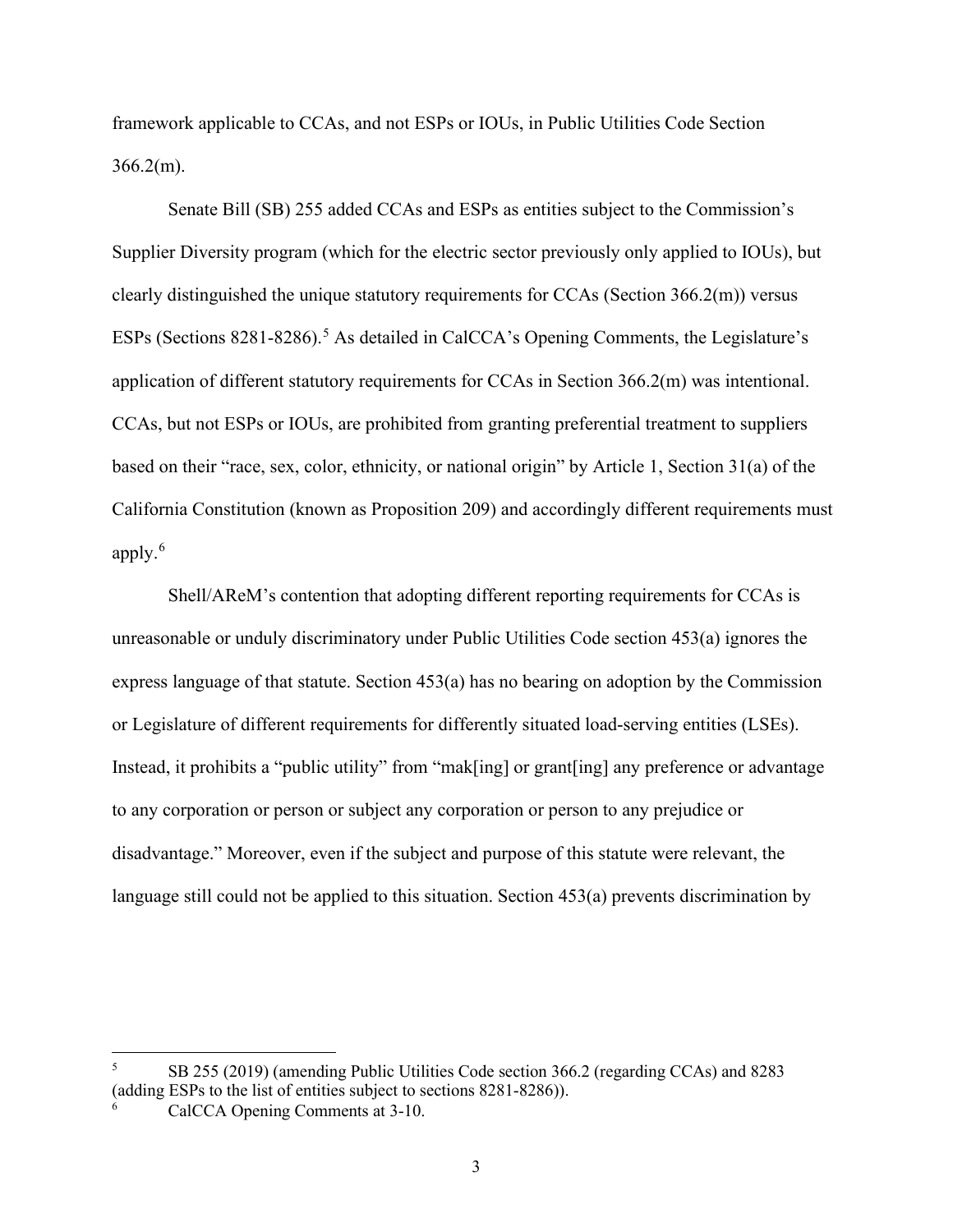framework applicable to CCAs, and not ESPs or IOUs, in Public Utilities Code Section 366.2(m).

Senate Bill (SB) 255 added CCAs and ESPs as entities subject to the Commission's Supplier Diversity program (which for the electric sector previously only applied to IOUs), but clearly distinguished the unique statutory requirements for CCAs (Section 366.2(m)) versus ESPs (Sections 8281-8286).<sup>[5](#page-3-0)</sup> As detailed in CalCCA's Opening Comments, the Legislature's application of different statutory requirements for CCAs in Section 366.2(m) was intentional. CCAs, but not ESPs or IOUs, are prohibited from granting preferential treatment to suppliers based on their "race, sex, color, ethnicity, or national origin" by Article 1, Section 31(a) of the California Constitution (known as Proposition 209) and accordingly different requirements must apply. $6$ 

Shell/AReM's contention that adopting different reporting requirements for CCAs is unreasonable or unduly discriminatory under Public Utilities Code section 453(a) ignores the express language of that statute. Section 453(a) has no bearing on adoption by the Commission or Legislature of different requirements for differently situated load-serving entities (LSEs). Instead, it prohibits a "public utility" from "mak[ing] or grant[ing] any preference or advantage to any corporation or person or subject any corporation or person to any prejudice or disadvantage." Moreover, even if the subject and purpose of this statute were relevant, the language still could not be applied to this situation. Section 453(a) prevents discrimination by

<span id="page-3-0"></span><sup>5</sup> SB 255 (2019) (amending Public Utilities Code section 366.2 (regarding CCAs) and 8283 (adding ESPs to the list of entities subject to sections 8281-8286)).

<span id="page-3-1"></span><sup>6</sup> CalCCA Opening Comments at 3-10.